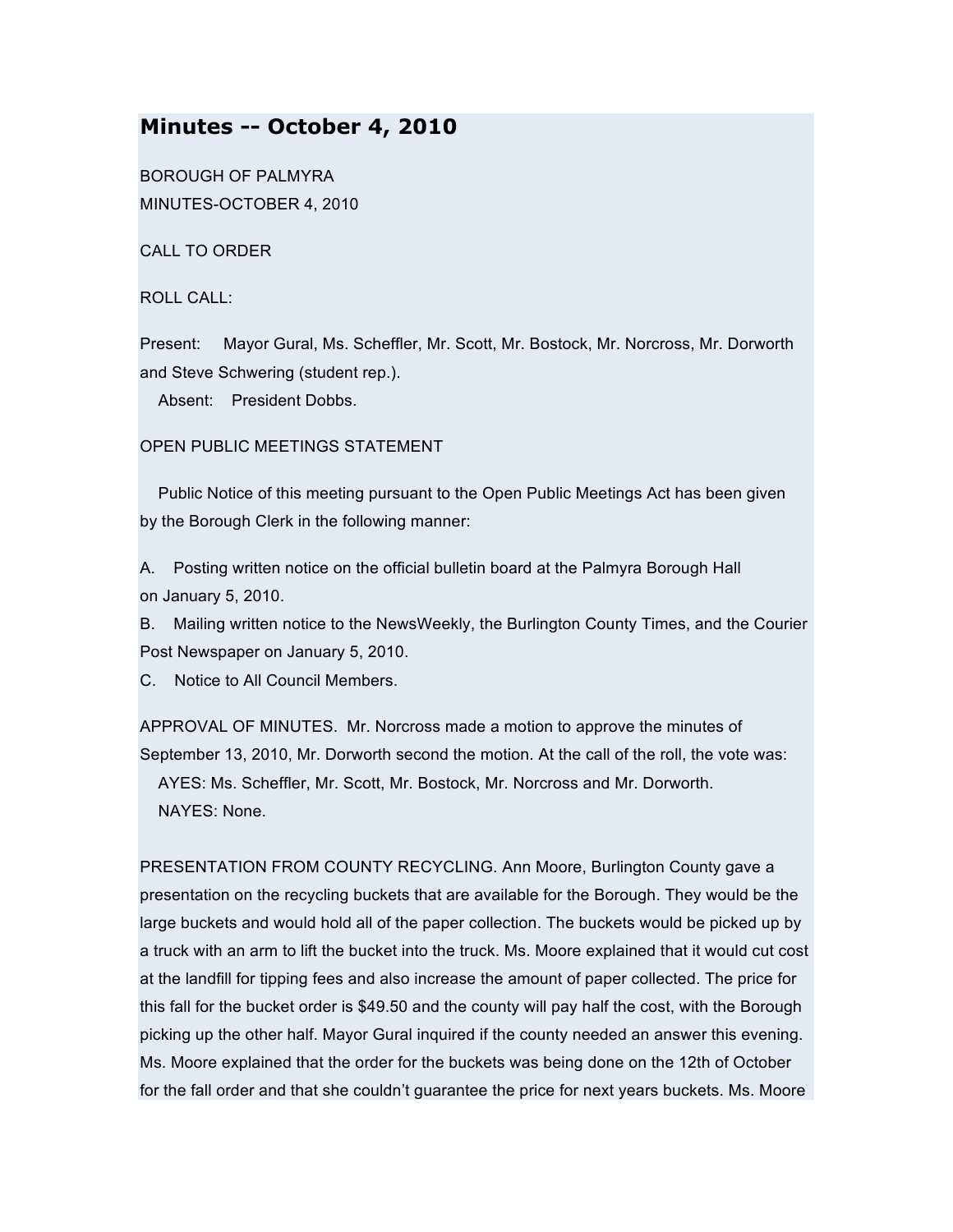## **Minutes -- October 4, 2010**

BOROUGH OF PALMYRA MINUTES-OCTOBER 4, 2010

CALL TO ORDER

ROLL CALL:

Present: Mayor Gural, Ms. Scheffler, Mr. Scott, Mr. Bostock, Mr. Norcross, Mr. Dorworth and Steve Schwering (student rep.).

Absent: President Dobbs.

## OPEN PUBLIC MEETINGS STATEMENT

Public Notice of this meeting pursuant to the Open Public Meetings Act has been given by the Borough Clerk in the following manner:

A. Posting written notice on the official bulletin board at the Palmyra Borough Hall on January 5, 2010.

B. Mailing written notice to the NewsWeekly, the Burlington County Times, and the Courier Post Newspaper on January 5, 2010.

C. Notice to All Council Members.

APPROVAL OF MINUTES. Mr. Norcross made a motion to approve the minutes of September 13, 2010, Mr. Dorworth second the motion. At the call of the roll, the vote was: AYES: Ms. Scheffler, Mr. Scott, Mr. Bostock, Mr. Norcross and Mr. Dorworth. NAYES: None.

PRESENTATION FROM COUNTY RECYCLING. Ann Moore, Burlington County gave a presentation on the recycling buckets that are available for the Borough. They would be the large buckets and would hold all of the paper collection. The buckets would be picked up by a truck with an arm to lift the bucket into the truck. Ms. Moore explained that it would cut cost at the landfill for tipping fees and also increase the amount of paper collected. The price for this fall for the bucket order is \$49.50 and the county will pay half the cost, with the Borough picking up the other half. Mayor Gural inquired if the county needed an answer this evening. Ms. Moore explained that the order for the buckets was being done on the 12th of October for the fall order and that she couldn't guarantee the price for next years buckets. Ms. Moore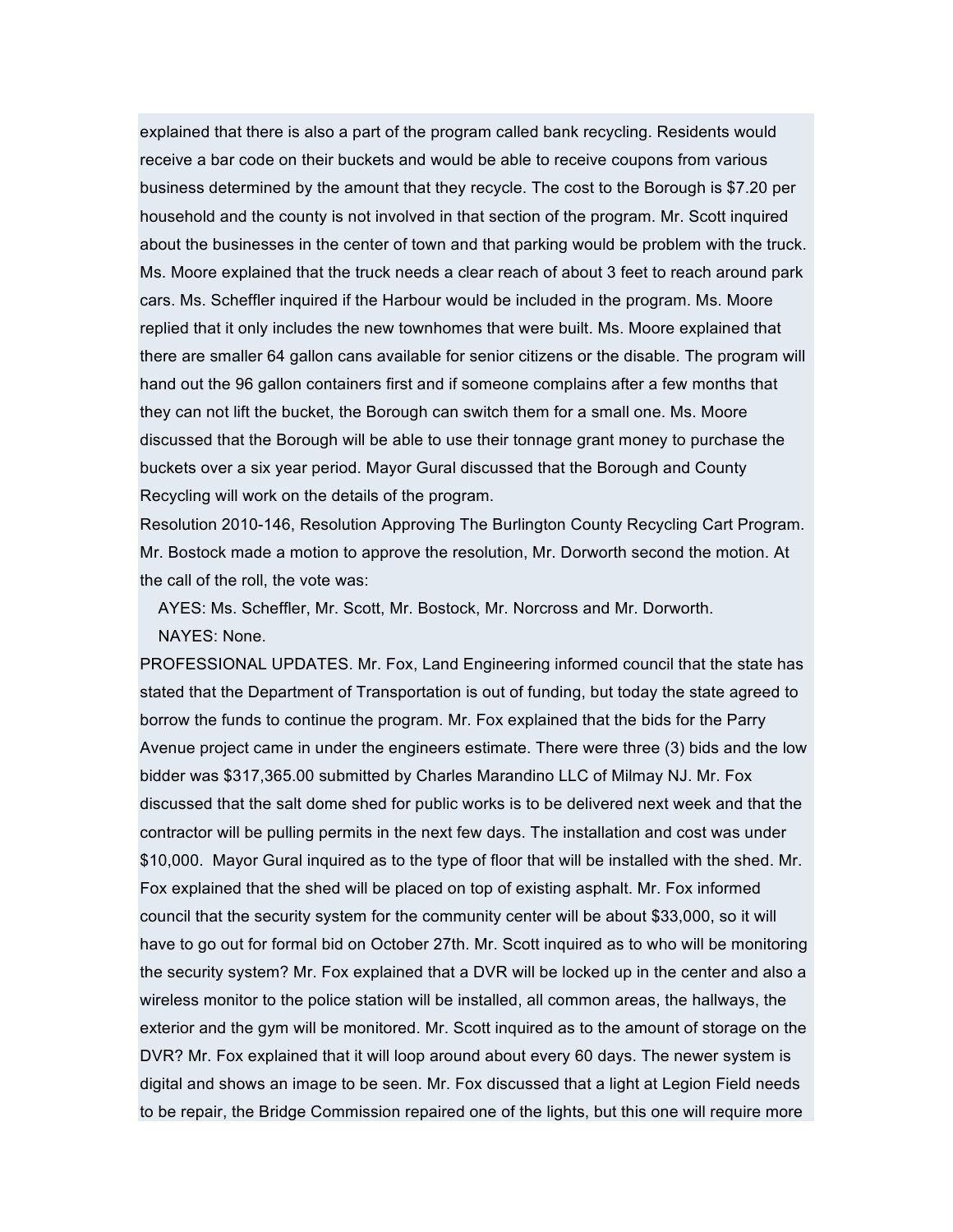explained that there is also a part of the program called bank recycling. Residents would receive a bar code on their buckets and would be able to receive coupons from various business determined by the amount that they recycle. The cost to the Borough is \$7.20 per household and the county is not involved in that section of the program. Mr. Scott inquired about the businesses in the center of town and that parking would be problem with the truck. Ms. Moore explained that the truck needs a clear reach of about 3 feet to reach around park cars. Ms. Scheffler inquired if the Harbour would be included in the program. Ms. Moore replied that it only includes the new townhomes that were built. Ms. Moore explained that there are smaller 64 gallon cans available for senior citizens or the disable. The program will hand out the 96 gallon containers first and if someone complains after a few months that they can not lift the bucket, the Borough can switch them for a small one. Ms. Moore discussed that the Borough will be able to use their tonnage grant money to purchase the buckets over a six year period. Mayor Gural discussed that the Borough and County Recycling will work on the details of the program.

Resolution 2010-146, Resolution Approving The Burlington County Recycling Cart Program. Mr. Bostock made a motion to approve the resolution, Mr. Dorworth second the motion. At the call of the roll, the vote was:

AYES: Ms. Scheffler, Mr. Scott, Mr. Bostock, Mr. Norcross and Mr. Dorworth.

NAYES: None.

PROFESSIONAL UPDATES. Mr. Fox, Land Engineering informed council that the state has stated that the Department of Transportation is out of funding, but today the state agreed to borrow the funds to continue the program. Mr. Fox explained that the bids for the Parry Avenue project came in under the engineers estimate. There were three (3) bids and the low bidder was \$317,365.00 submitted by Charles Marandino LLC of Milmay NJ. Mr. Fox discussed that the salt dome shed for public works is to be delivered next week and that the contractor will be pulling permits in the next few days. The installation and cost was under \$10,000. Mayor Gural inquired as to the type of floor that will be installed with the shed. Mr. Fox explained that the shed will be placed on top of existing asphalt. Mr. Fox informed council that the security system for the community center will be about \$33,000, so it will have to go out for formal bid on October 27th. Mr. Scott inquired as to who will be monitoring the security system? Mr. Fox explained that a DVR will be locked up in the center and also a wireless monitor to the police station will be installed, all common areas, the hallways, the exterior and the gym will be monitored. Mr. Scott inquired as to the amount of storage on the DVR? Mr. Fox explained that it will loop around about every 60 days. The newer system is digital and shows an image to be seen. Mr. Fox discussed that a light at Legion Field needs to be repair, the Bridge Commission repaired one of the lights, but this one will require more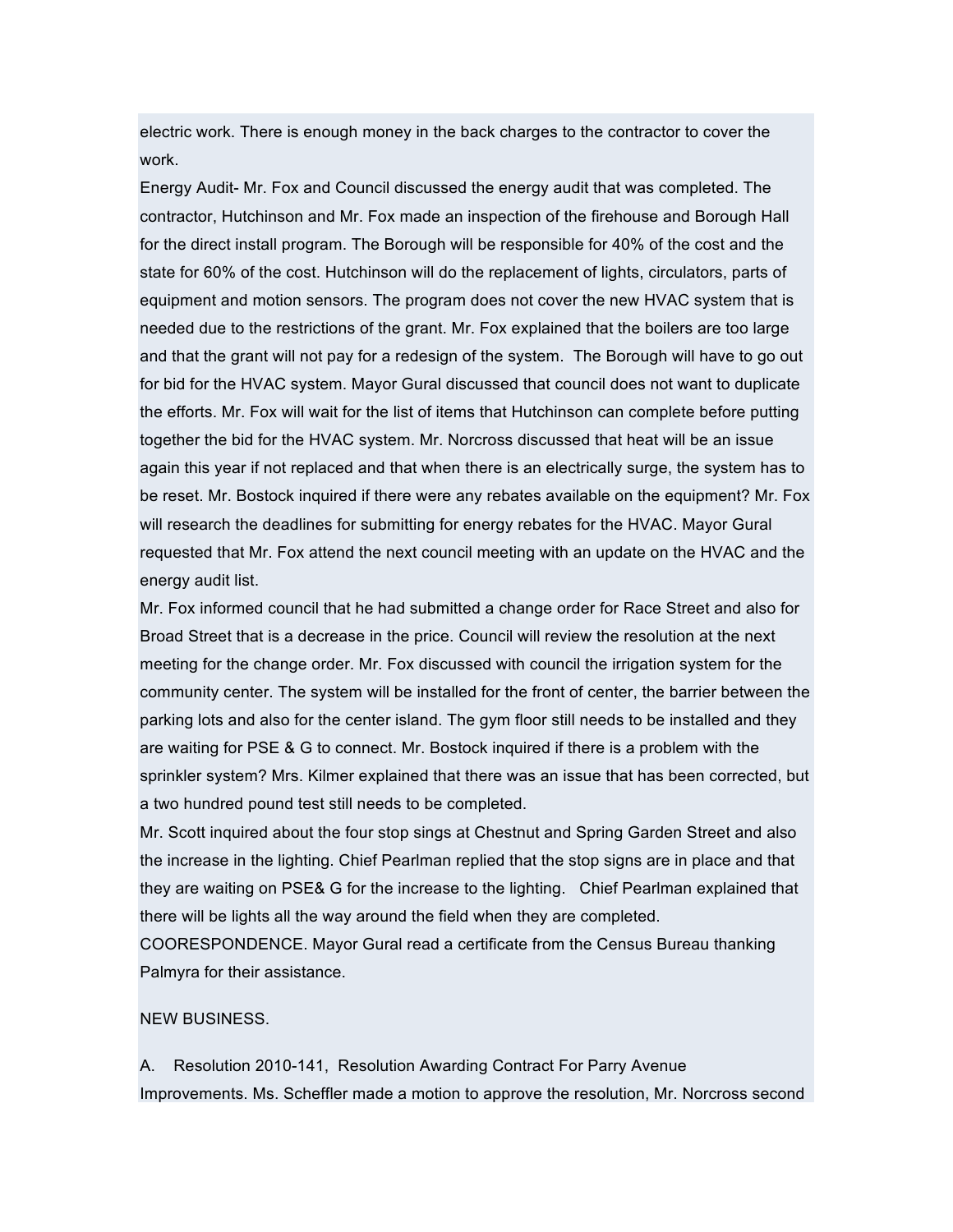electric work. There is enough money in the back charges to the contractor to cover the work.

Energy Audit- Mr. Fox and Council discussed the energy audit that was completed. The contractor, Hutchinson and Mr. Fox made an inspection of the firehouse and Borough Hall for the direct install program. The Borough will be responsible for 40% of the cost and the state for 60% of the cost. Hutchinson will do the replacement of lights, circulators, parts of equipment and motion sensors. The program does not cover the new HVAC system that is needed due to the restrictions of the grant. Mr. Fox explained that the boilers are too large and that the grant will not pay for a redesign of the system. The Borough will have to go out for bid for the HVAC system. Mayor Gural discussed that council does not want to duplicate the efforts. Mr. Fox will wait for the list of items that Hutchinson can complete before putting together the bid for the HVAC system. Mr. Norcross discussed that heat will be an issue again this year if not replaced and that when there is an electrically surge, the system has to be reset. Mr. Bostock inquired if there were any rebates available on the equipment? Mr. Fox will research the deadlines for submitting for energy rebates for the HVAC. Mayor Gural requested that Mr. Fox attend the next council meeting with an update on the HVAC and the energy audit list.

Mr. Fox informed council that he had submitted a change order for Race Street and also for Broad Street that is a decrease in the price. Council will review the resolution at the next meeting for the change order. Mr. Fox discussed with council the irrigation system for the community center. The system will be installed for the front of center, the barrier between the parking lots and also for the center island. The gym floor still needs to be installed and they are waiting for PSE & G to connect. Mr. Bostock inquired if there is a problem with the sprinkler system? Mrs. Kilmer explained that there was an issue that has been corrected, but a two hundred pound test still needs to be completed.

Mr. Scott inquired about the four stop sings at Chestnut and Spring Garden Street and also the increase in the lighting. Chief Pearlman replied that the stop signs are in place and that they are waiting on PSE& G for the increase to the lighting. Chief Pearlman explained that there will be lights all the way around the field when they are completed.

COORESPONDENCE. Mayor Gural read a certificate from the Census Bureau thanking Palmyra for their assistance.

## NEW BUSINESS.

A. Resolution 2010-141, Resolution Awarding Contract For Parry Avenue Improvements. Ms. Scheffler made a motion to approve the resolution, Mr. Norcross second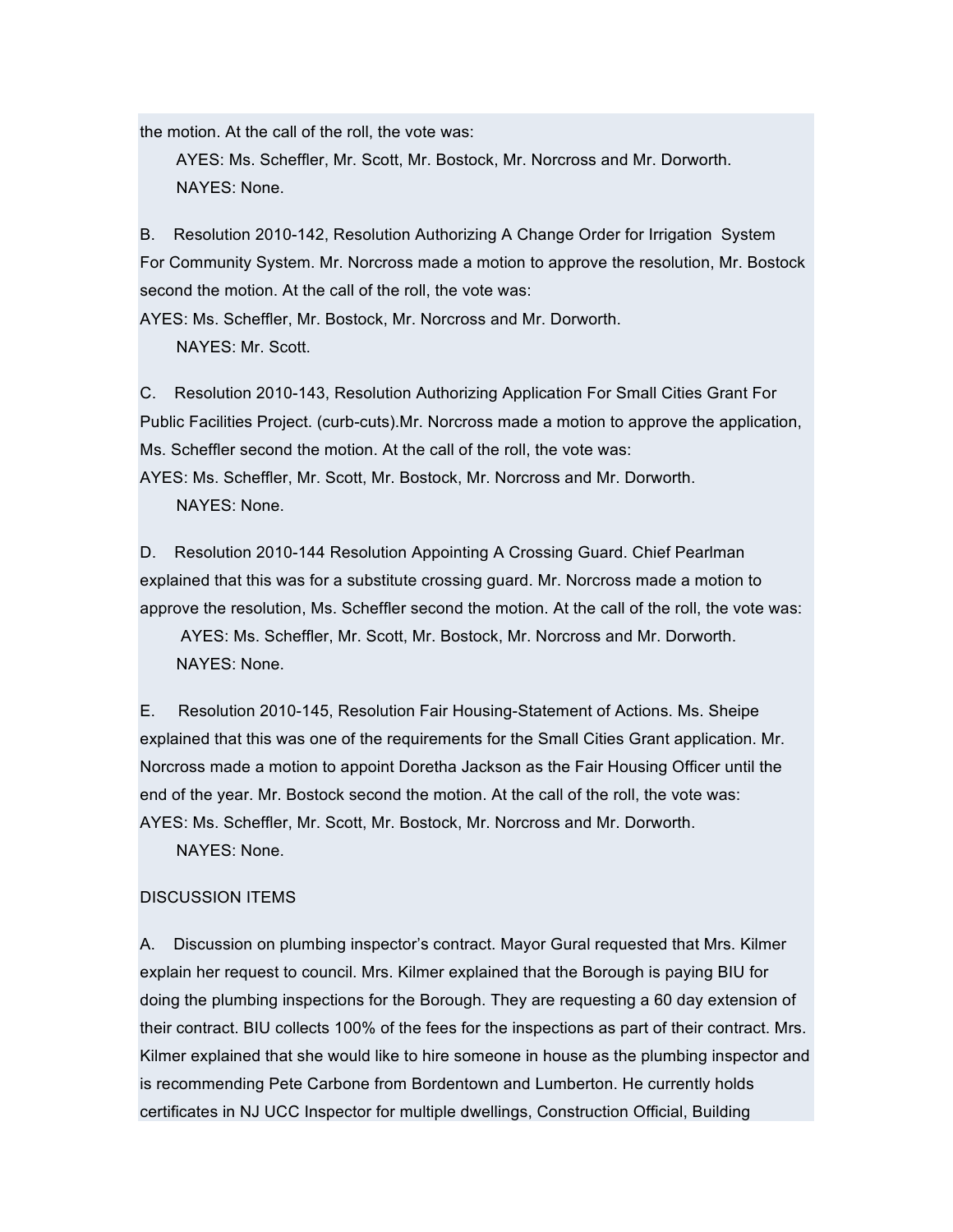the motion. At the call of the roll, the vote was:

AYES: Ms. Scheffler, Mr. Scott, Mr. Bostock, Mr. Norcross and Mr. Dorworth. NAYES: None.

B. Resolution 2010-142, Resolution Authorizing A Change Order for Irrigation System For Community System. Mr. Norcross made a motion to approve the resolution, Mr. Bostock second the motion. At the call of the roll, the vote was:

AYES: Ms. Scheffler, Mr. Bostock, Mr. Norcross and Mr. Dorworth. NAYES: Mr. Scott.

C. Resolution 2010-143, Resolution Authorizing Application For Small Cities Grant For Public Facilities Project. (curb-cuts).Mr. Norcross made a motion to approve the application, Ms. Scheffler second the motion. At the call of the roll, the vote was:

AYES: Ms. Scheffler, Mr. Scott, Mr. Bostock, Mr. Norcross and Mr. Dorworth. NAYES: None.

D. Resolution 2010-144 Resolution Appointing A Crossing Guard. Chief Pearlman explained that this was for a substitute crossing guard. Mr. Norcross made a motion to approve the resolution, Ms. Scheffler second the motion. At the call of the roll, the vote was:

AYES: Ms. Scheffler, Mr. Scott, Mr. Bostock, Mr. Norcross and Mr. Dorworth. NAYES: None.

E. Resolution 2010-145, Resolution Fair Housing-Statement of Actions. Ms. Sheipe explained that this was one of the requirements for the Small Cities Grant application. Mr. Norcross made a motion to appoint Doretha Jackson as the Fair Housing Officer until the end of the year. Mr. Bostock second the motion. At the call of the roll, the vote was: AYES: Ms. Scheffler, Mr. Scott, Mr. Bostock, Mr. Norcross and Mr. Dorworth.

NAYES: None.

## DISCUSSION ITEMS

A. Discussion on plumbing inspector's contract. Mayor Gural requested that Mrs. Kilmer explain her request to council. Mrs. Kilmer explained that the Borough is paying BIU for doing the plumbing inspections for the Borough. They are requesting a 60 day extension of their contract. BIU collects 100% of the fees for the inspections as part of their contract. Mrs. Kilmer explained that she would like to hire someone in house as the plumbing inspector and is recommending Pete Carbone from Bordentown and Lumberton. He currently holds certificates in NJ UCC Inspector for multiple dwellings, Construction Official, Building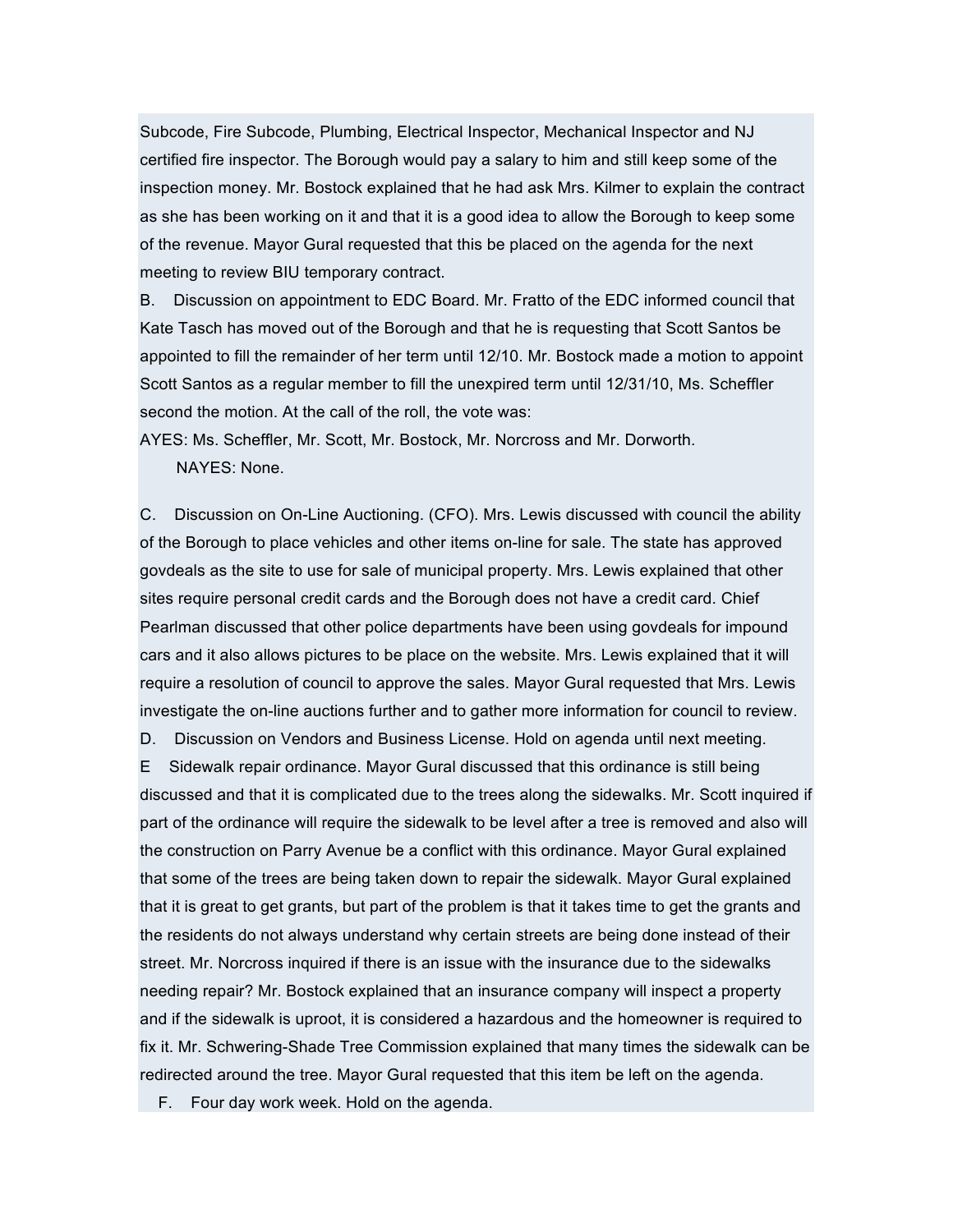Subcode, Fire Subcode, Plumbing, Electrical Inspector, Mechanical Inspector and NJ certified fire inspector. The Borough would pay a salary to him and still keep some of the inspection money. Mr. Bostock explained that he had ask Mrs. Kilmer to explain the contract as she has been working on it and that it is a good idea to allow the Borough to keep some of the revenue. Mayor Gural requested that this be placed on the agenda for the next meeting to review BIU temporary contract.

B. Discussion on appointment to EDC Board. Mr. Fratto of the EDC informed council that Kate Tasch has moved out of the Borough and that he is requesting that Scott Santos be appointed to fill the remainder of her term until 12/10. Mr. Bostock made a motion to appoint Scott Santos as a regular member to fill the unexpired term until 12/31/10, Ms. Scheffler second the motion. At the call of the roll, the vote was:

AYES: Ms. Scheffler, Mr. Scott, Mr. Bostock, Mr. Norcross and Mr. Dorworth. NAYES: None.

C. Discussion on On-Line Auctioning. (CFO). Mrs. Lewis discussed with council the ability of the Borough to place vehicles and other items on-line for sale. The state has approved govdeals as the site to use for sale of municipal property. Mrs. Lewis explained that other sites require personal credit cards and the Borough does not have a credit card. Chief Pearlman discussed that other police departments have been using govdeals for impound cars and it also allows pictures to be place on the website. Mrs. Lewis explained that it will require a resolution of council to approve the sales. Mayor Gural requested that Mrs. Lewis investigate the on-line auctions further and to gather more information for council to review.

D. Discussion on Vendors and Business License. Hold on agenda until next meeting.

E Sidewalk repair ordinance. Mayor Gural discussed that this ordinance is still being discussed and that it is complicated due to the trees along the sidewalks. Mr. Scott inquired if part of the ordinance will require the sidewalk to be level after a tree is removed and also will the construction on Parry Avenue be a conflict with this ordinance. Mayor Gural explained that some of the trees are being taken down to repair the sidewalk. Mayor Gural explained that it is great to get grants, but part of the problem is that it takes time to get the grants and the residents do not always understand why certain streets are being done instead of their street. Mr. Norcross inquired if there is an issue with the insurance due to the sidewalks needing repair? Mr. Bostock explained that an insurance company will inspect a property and if the sidewalk is uproot, it is considered a hazardous and the homeowner is required to fix it. Mr. Schwering-Shade Tree Commission explained that many times the sidewalk can be redirected around the tree. Mayor Gural requested that this item be left on the agenda.

F. Four day work week. Hold on the agenda.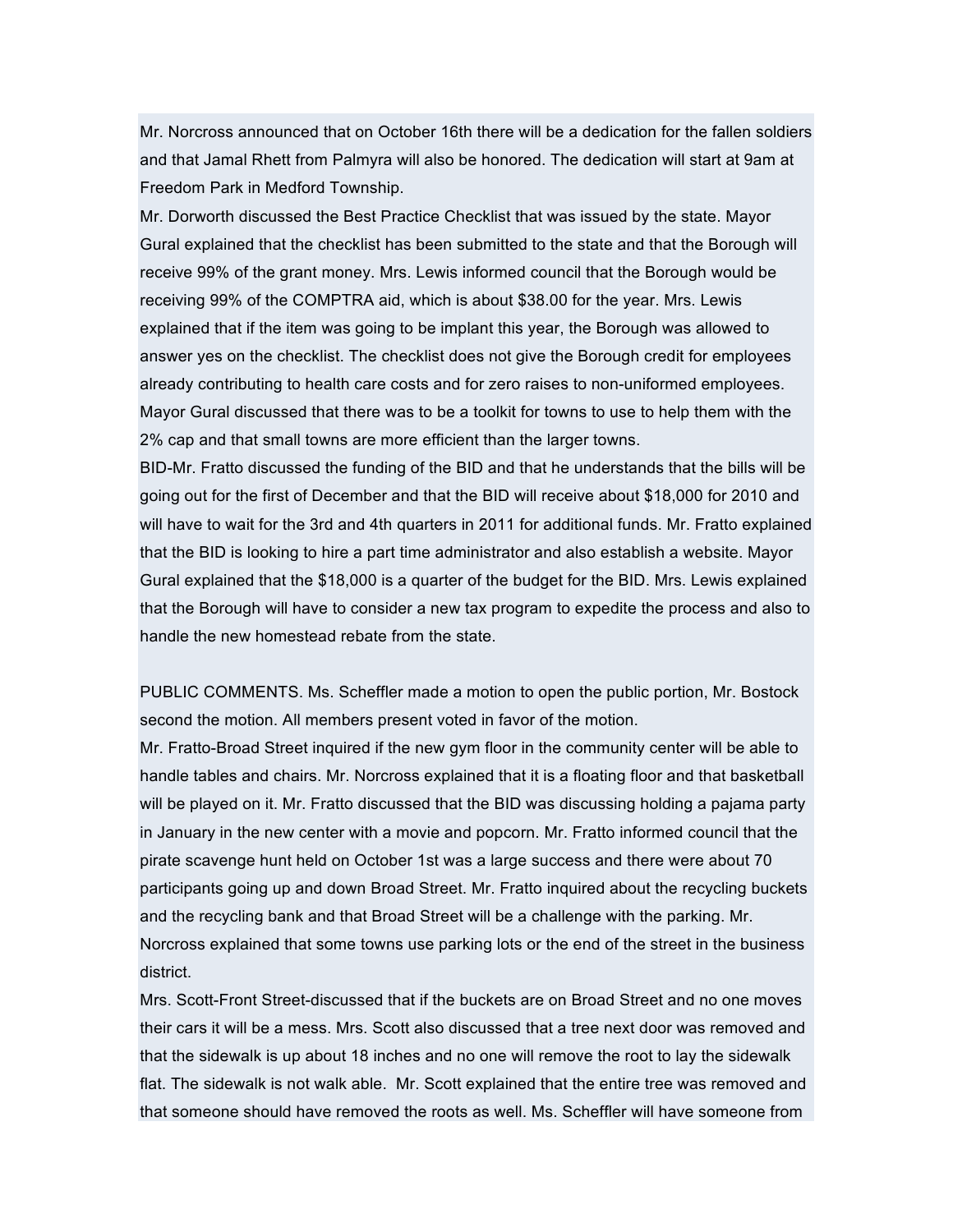Mr. Norcross announced that on October 16th there will be a dedication for the fallen soldiers and that Jamal Rhett from Palmyra will also be honored. The dedication will start at 9am at Freedom Park in Medford Township.

Mr. Dorworth discussed the Best Practice Checklist that was issued by the state. Mayor Gural explained that the checklist has been submitted to the state and that the Borough will receive 99% of the grant money. Mrs. Lewis informed council that the Borough would be receiving 99% of the COMPTRA aid, which is about \$38.00 for the year. Mrs. Lewis explained that if the item was going to be implant this year, the Borough was allowed to answer yes on the checklist. The checklist does not give the Borough credit for employees already contributing to health care costs and for zero raises to non-uniformed employees. Mayor Gural discussed that there was to be a toolkit for towns to use to help them with the 2% cap and that small towns are more efficient than the larger towns.

BID-Mr. Fratto discussed the funding of the BID and that he understands that the bills will be going out for the first of December and that the BID will receive about \$18,000 for 2010 and will have to wait for the 3rd and 4th quarters in 2011 for additional funds. Mr. Fratto explained that the BID is looking to hire a part time administrator and also establish a website. Mayor Gural explained that the \$18,000 is a quarter of the budget for the BID. Mrs. Lewis explained that the Borough will have to consider a new tax program to expedite the process and also to handle the new homestead rebate from the state.

PUBLIC COMMENTS. Ms. Scheffler made a motion to open the public portion, Mr. Bostock second the motion. All members present voted in favor of the motion.

Mr. Fratto-Broad Street inquired if the new gym floor in the community center will be able to handle tables and chairs. Mr. Norcross explained that it is a floating floor and that basketball will be played on it. Mr. Fratto discussed that the BID was discussing holding a pajama party in January in the new center with a movie and popcorn. Mr. Fratto informed council that the pirate scavenge hunt held on October 1st was a large success and there were about 70 participants going up and down Broad Street. Mr. Fratto inquired about the recycling buckets and the recycling bank and that Broad Street will be a challenge with the parking. Mr. Norcross explained that some towns use parking lots or the end of the street in the business district.

Mrs. Scott-Front Street-discussed that if the buckets are on Broad Street and no one moves their cars it will be a mess. Mrs. Scott also discussed that a tree next door was removed and that the sidewalk is up about 18 inches and no one will remove the root to lay the sidewalk flat. The sidewalk is not walk able. Mr. Scott explained that the entire tree was removed and that someone should have removed the roots as well. Ms. Scheffler will have someone from